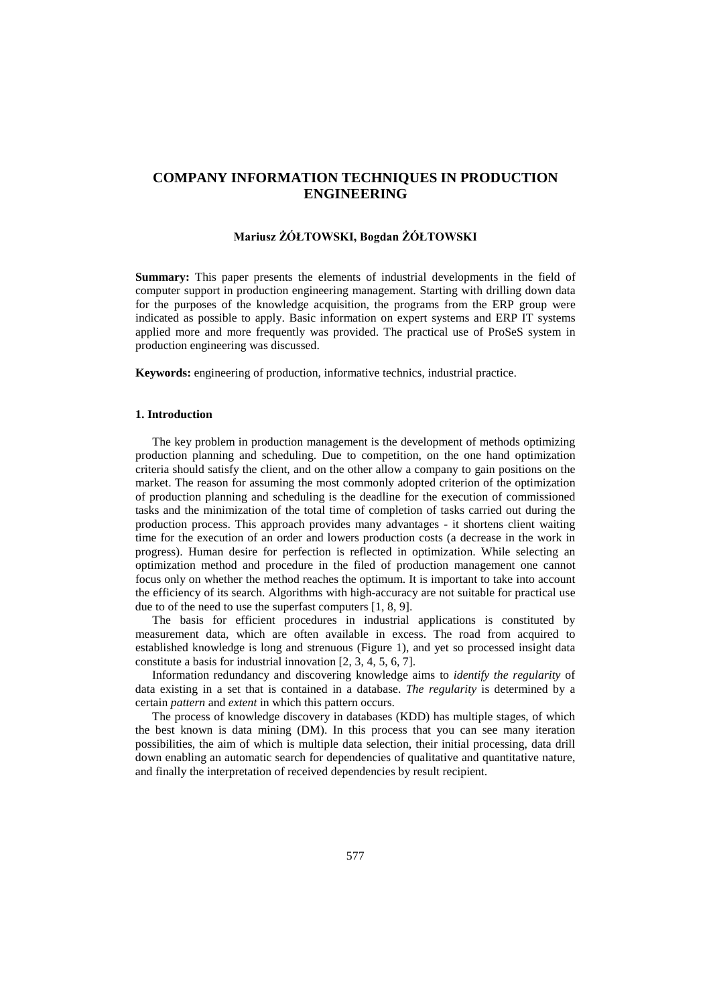# **COMPANY INFORMATION TECHNIQUES IN PRODUCTION ENGINEERING**

# **Mariusz ŻÓŁTOWSKI, Bogdan ŻÓŁTOWSKI**

**Summary:** This paper presents the elements of industrial developments in the field of computer support in production engineering management. Starting with drilling down data for the purposes of the knowledge acquisition, the programs from the ERP group were indicated as possible to apply. Basic information on expert systems and ERP IT systems applied more and more frequently was provided. The practical use of ProSeS system in production engineering was discussed.

**Keywords:** engineering of production, informative technics, industrial practice.

#### **1. Introduction**

The key problem in production management is the development of methods optimizing production planning and scheduling. Due to competition, on the one hand optimization criteria should satisfy the client, and on the other allow a company to gain positions on the market. The reason for assuming the most commonly adopted criterion of the optimization of production planning and scheduling is the deadline for the execution of commissioned tasks and the minimization of the total time of completion of tasks carried out during the production process. This approach provides many advantages - it shortens client waiting time for the execution of an order and lowers production costs (a decrease in the work in progress). Human desire for perfection is reflected in optimization. While selecting an optimization method and procedure in the filed of production management one cannot focus only on whether the method reaches the optimum. It is important to take into account the efficiency of its search. Algorithms with high-accuracy are not suitable for practical use due to of the need to use the superfast computers [1, 8, 9].

The basis for efficient procedures in industrial applications is constituted by measurement data, which are often available in excess. The road from acquired to established knowledge is long and strenuous (Figure 1), and yet so processed insight data constitute a basis for industrial innovation [2, 3, 4, 5, 6, 7].

Information redundancy and discovering knowledge aims to *identify the regularity* of data existing in a set that is contained in a database. *The regularity* is determined by a certain *pattern* and *extent* in which this pattern occurs.

The process of knowledge discovery in databases (KDD) has multiple stages, of which the best known is data mining (DM). In this process that you can see many iteration possibilities, the aim of which is multiple data selection, their initial processing, data drill down enabling an automatic search for dependencies of qualitative and quantitative nature, and finally the interpretation of received dependencies by result recipient.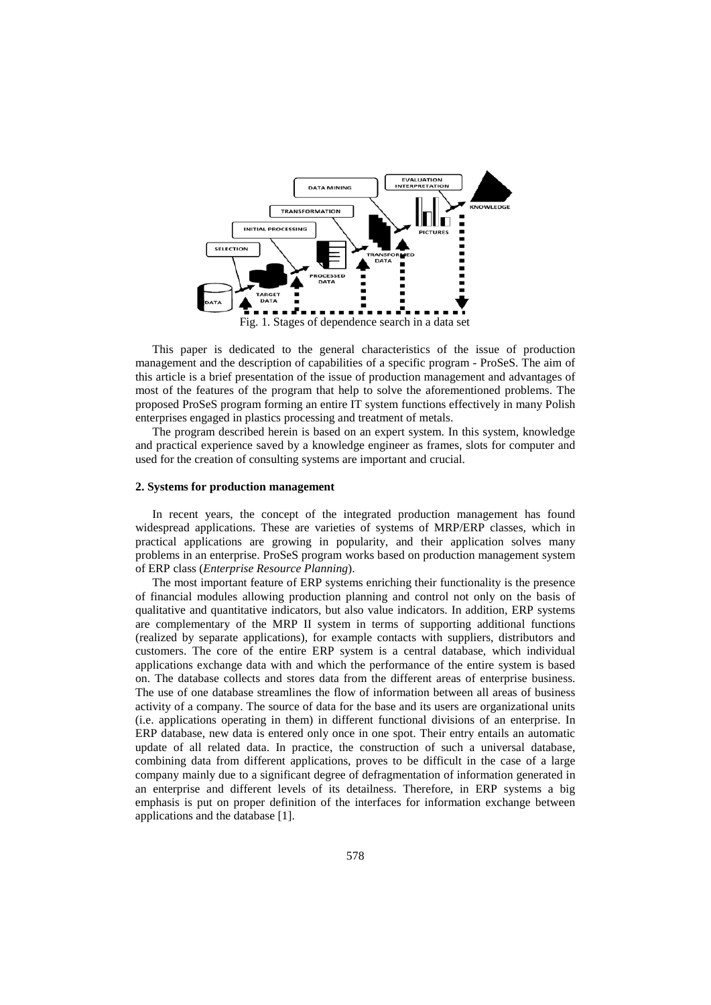

This paper is dedicated to the general characteristics of the issue of production management and the description of capabilities of a specific program - ProSeS. The aim of this article is a brief presentation of the issue of production management and advantages of most of the features of the program that help to solve the aforementioned problems. The proposed ProSeS program forming an entire IT system functions effectively in many Polish enterprises engaged in plastics processing and treatment of metals.

The program described herein is based on an expert system. In this system, knowledge and practical experience saved by a knowledge engineer as frames, slots for computer and used for the creation of consulting systems are important and crucial.

### **2. Systems for production management**

In recent years, the concept of the integrated production management has found widespread applications. These are varieties of systems of MRP/ERP classes, which in practical applications are growing in popularity, and their application solves many problems in an enterprise. ProSeS program works based on production management system of ERP class (*Enterprise Resource Planning*).

The most important feature of ERP systems enriching their functionality is the presence of financial modules allowing production planning and control not only on the basis of qualitative and quantitative indicators, but also value indicators. In addition, ERP systems are complementary of the MRP II system in terms of supporting additional functions (realized by separate applications), for example contacts with suppliers, distributors and customers. The core of the entire ERP system is a central database, which individual applications exchange data with and which the performance of the entire system is based on. The database collects and stores data from the different areas of enterprise business. The use of one database streamlines the flow of information between all areas of business activity of a company. The source of data for the base and its users are organizational units (i.e. applications operating in them) in different functional divisions of an enterprise. In ERP database, new data is entered only once in one spot. Their entry entails an automatic update of all related data. In practice, the construction of such a universal database, combining data from different applications, proves to be difficult in the case of a large company mainly due to a significant degree of defragmentation of information generated in an enterprise and different levels of its detailness. Therefore, in ERP systems a big emphasis is put on proper definition of the interfaces for information exchange between applications and the database [1].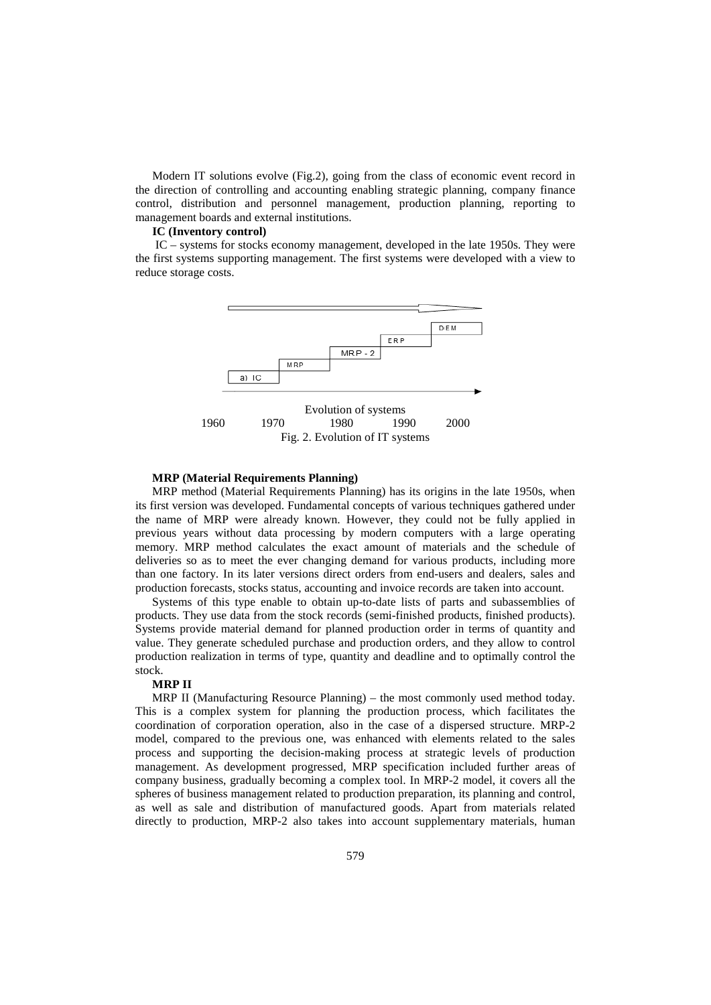Modern IT solutions evolve (Fig.2), going from the class of economic event record in the direction of controlling and accounting enabling strategic planning, company finance control, distribution and personnel management, production planning, reporting to management boards and external institutions.

#### **IC (Inventory control)**

IC – systems for stocks economy management, developed in the late 1950s. They were the first systems supporting management. The first systems were developed with a view to reduce storage costs.



#### **MRP (Material Requirements Planning)**

MRP method (Material Requirements Planning) has its origins in the late 1950s, when its first version was developed. Fundamental concepts of various techniques gathered under the name of MRP were already known. However, they could not be fully applied in previous years without data processing by modern computers with a large operating memory. MRP method calculates the exact amount of materials and the schedule of deliveries so as to meet the ever changing demand for various products, including more than one factory. In its later versions direct orders from end-users and dealers, sales and production forecasts, stocks status, accounting and invoice records are taken into account.

Systems of this type enable to obtain up-to-date lists of parts and subassemblies of products. They use data from the stock records (semi-finished products, finished products). Systems provide material demand for planned production order in terms of quantity and value. They generate scheduled purchase and production orders, and they allow to control production realization in terms of type, quantity and deadline and to optimally control the stock.

# **MRP II**

MRP II (Manufacturing Resource Planning) – the most commonly used method today. This is a complex system for planning the production process, which facilitates the coordination of corporation operation, also in the case of a dispersed structure. MRP-2 model, compared to the previous one, was enhanced with elements related to the sales process and supporting the decision-making process at strategic levels of production management. As development progressed, MRP specification included further areas of company business, gradually becoming a complex tool. In MRP-2 model, it covers all the spheres of business management related to production preparation, its planning and control, as well as sale and distribution of manufactured goods. Apart from materials related directly to production, MRP-2 also takes into account supplementary materials, human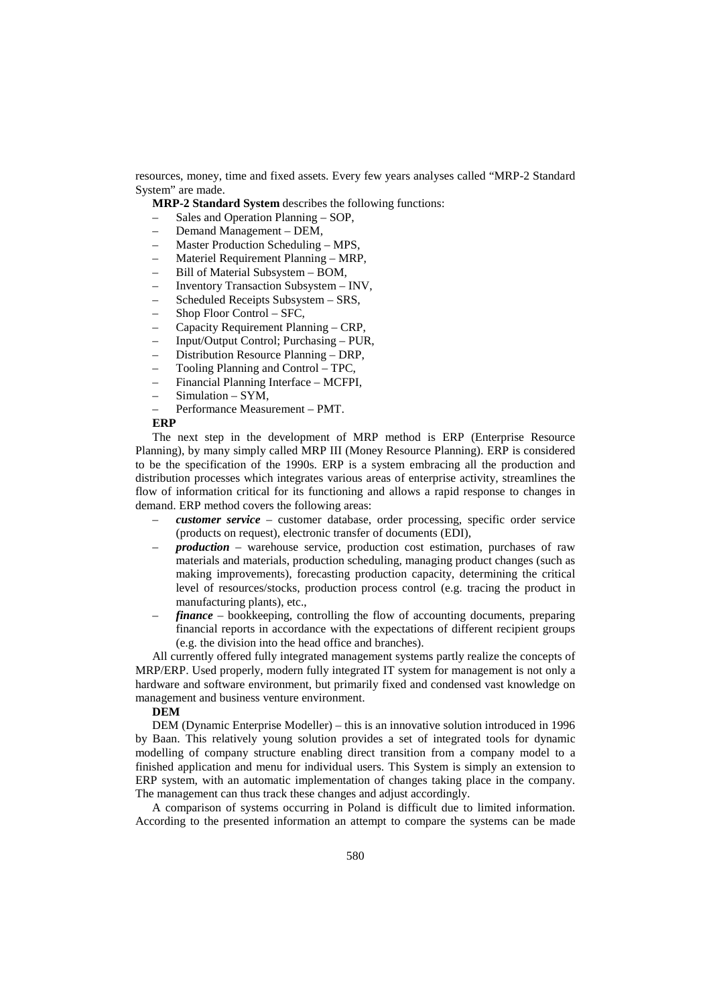resources, money, time and fixed assets. Every few years analyses called "MRP-2 Standard System" are made.

**MRP-2 Standard System** describes the following functions:

- Sales and Operation Planning SOP,
- Demand Management DEM,
- Master Production Scheduling MPS,
- Materiel Requirement Planning MRP,
- Bill of Material Subsystem BOM,
- Inventory Transaction Subsystem INV,
- Scheduled Receipts Subsystem SRS,
- Shop Floor Control SFC,
- Capacity Requirement Planning CRP,
- Input/Output Control; Purchasing PUR,
- Distribution Resource Planning DRP,
- Tooling Planning and Control TPC,
- Financial Planning Interface MCFPI,
- Simulation SYM,
- Performance Measurement PMT.

## **ERP**

The next step in the development of MRP method is ERP (Enterprise Resource Planning), by many simply called MRP III (Money Resource Planning). ERP is considered to be the specification of the 1990s. ERP is a system embracing all the production and distribution processes which integrates various areas of enterprise activity, streamlines the flow of information critical for its functioning and allows a rapid response to changes in demand. ERP method covers the following areas:

- *customer service* customer database, order processing, specific order service (products on request), electronic transfer of documents (EDI),
- *production* warehouse service, production cost estimation, purchases of raw materials and materials, production scheduling, managing product changes (such as making improvements), forecasting production capacity, determining the critical level of resources/stocks, production process control (e.g. tracing the product in manufacturing plants), etc.,
- *finance* bookkeeping, controlling the flow of accounting documents, preparing financial reports in accordance with the expectations of different recipient groups (e.g. the division into the head office and branches).

All currently offered fully integrated management systems partly realize the concepts of MRP/ERP. Used properly, modern fully integrated IT system for management is not only a hardware and software environment, but primarily fixed and condensed vast knowledge on management and business venture environment.

#### **DEM**

DEM (Dynamic Enterprise Modeller) – this is an innovative solution introduced in 1996 by Baan. This relatively young solution provides a set of integrated tools for dynamic modelling of company structure enabling direct transition from a company model to a finished application and menu for individual users. This System is simply an extension to ERP system, with an automatic implementation of changes taking place in the company. The management can thus track these changes and adjust accordingly.

A comparison of systems occurring in Poland is difficult due to limited information. According to the presented information an attempt to compare the systems can be made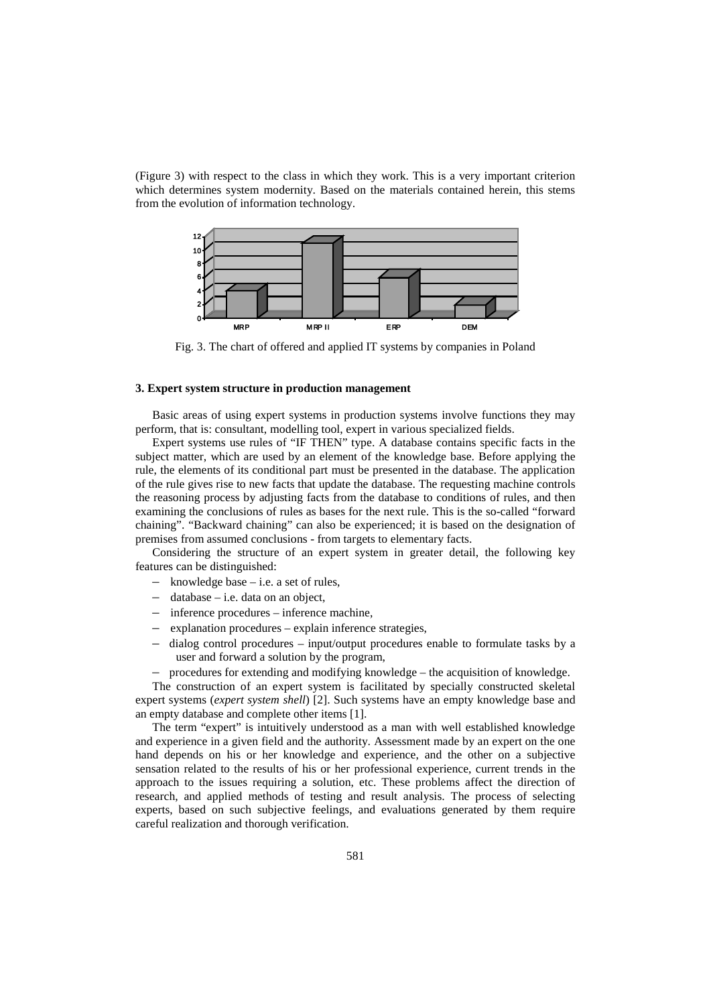(Figure 3) with respect to the class in which they work. This is a very important criterion which determines system modernity. Based on the materials contained herein, this stems from the evolution of information technology.



Fig. 3. The chart of offered and applied IT systems by companies in Poland

### **3. Expert system structure in production management**

Basic areas of using expert systems in production systems involve functions they may perform, that is: consultant, modelling tool, expert in various specialized fields.

Expert systems use rules of "IF THEN" type. A database contains specific facts in the subject matter, which are used by an element of the knowledge base. Before applying the rule, the elements of its conditional part must be presented in the database. The application of the rule gives rise to new facts that update the database. The requesting machine controls the reasoning process by adjusting facts from the database to conditions of rules, and then examining the conclusions of rules as bases for the next rule. This is the so-called "forward chaining". "Backward chaining" can also be experienced; it is based on the designation of premises from assumed conclusions - from targets to elementary facts.

Considering the structure of an expert system in greater detail, the following key features can be distinguished:

- knowledge base i.e. a set of rules,
- database i.e. data on an object,
- inference procedures inference machine,
- explanation procedures explain inference strategies,
- dialog control procedures input/output procedures enable to formulate tasks by a user and forward a solution by the program,
- procedures for extending and modifying knowledge the acquisition of knowledge.

The construction of an expert system is facilitated by specially constructed skeletal expert systems (*expert system shell*) [2]. Such systems have an empty knowledge base and an empty database and complete other items [1].

The term "expert" is intuitively understood as a man with well established knowledge and experience in a given field and the authority. Assessment made by an expert on the one hand depends on his or her knowledge and experience, and the other on a subjective sensation related to the results of his or her professional experience, current trends in the approach to the issues requiring a solution, etc. These problems affect the direction of research, and applied methods of testing and result analysis. The process of selecting experts, based on such subjective feelings, and evaluations generated by them require careful realization and thorough verification.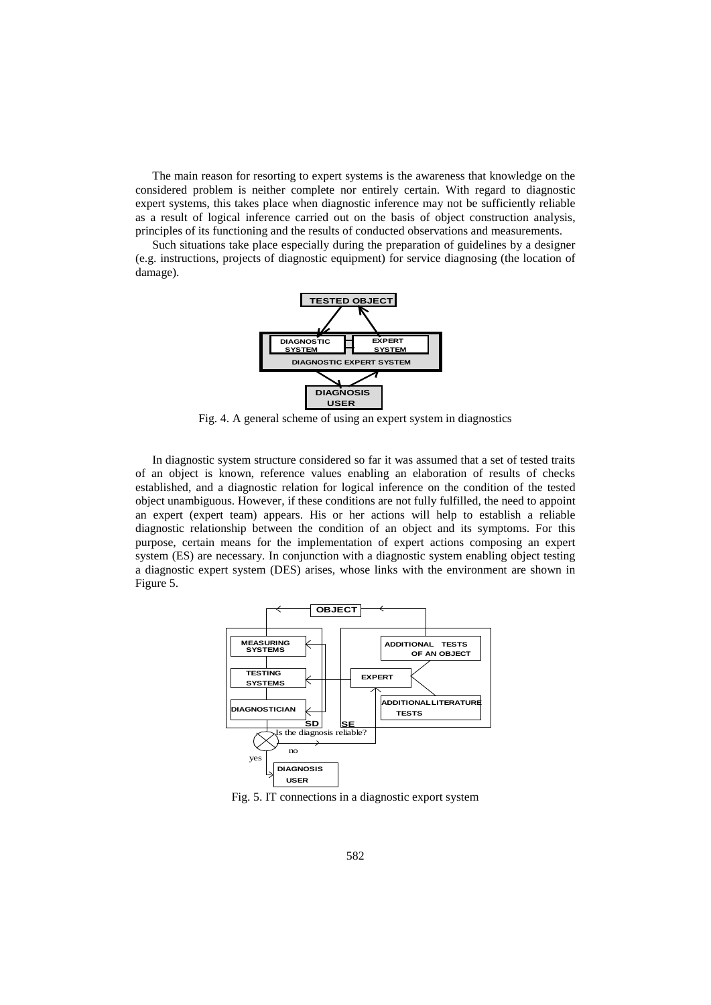The main reason for resorting to expert systems is the awareness that knowledge on the considered problem is neither complete nor entirely certain. With regard to diagnostic expert systems, this takes place when diagnostic inference may not be sufficiently reliable as a result of logical inference carried out on the basis of object construction analysis, principles of its functioning and the results of conducted observations and measurements.

Such situations take place especially during the preparation of guidelines by a designer (e.g. instructions, projects of diagnostic equipment) for service diagnosing (the location of damage).



Fig. 4. A general scheme of using an expert system in diagnostics

In diagnostic system structure considered so far it was assumed that a set of tested traits of an object is known, reference values enabling an elaboration of results of checks established, and a diagnostic relation for logical inference on the condition of the tested object unambiguous. However, if these conditions are not fully fulfilled, the need to appoint an expert (expert team) appears. His or her actions will help to establish a reliable diagnostic relationship between the condition of an object and its symptoms. For this purpose, certain means for the implementation of expert actions composing an expert system (ES) are necessary. In conjunction with a diagnostic system enabling object testing a diagnostic expert system (DES) arises, whose links with the environment are shown in Figure 5.



Fig. 5. IT connections in a diagnostic export system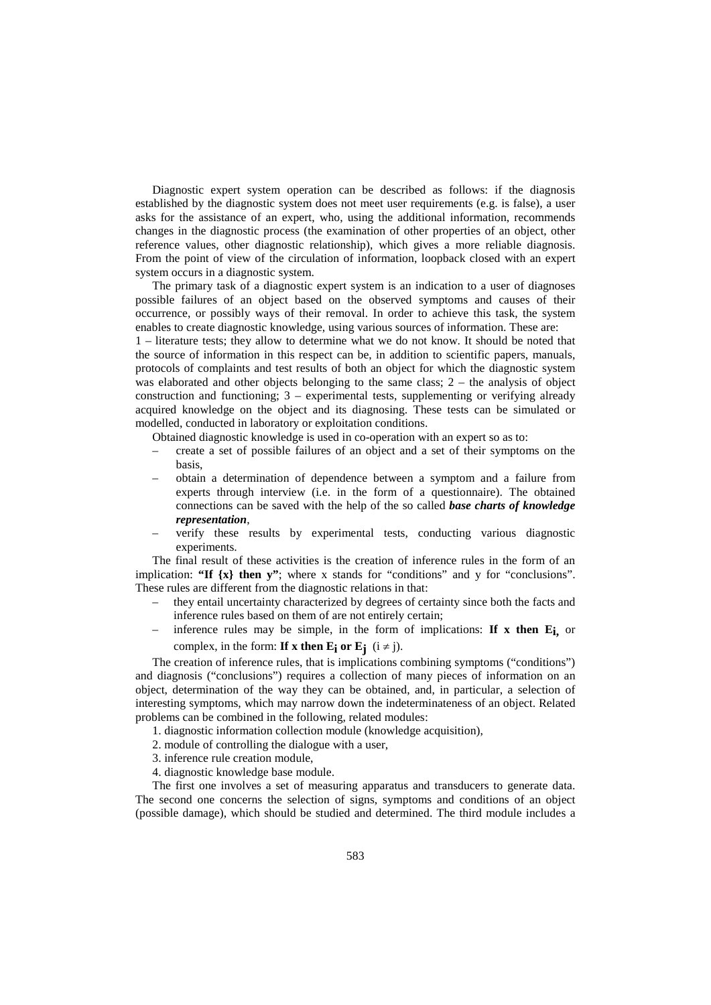Diagnostic expert system operation can be described as follows: if the diagnosis established by the diagnostic system does not meet user requirements (e.g. is false), a user asks for the assistance of an expert, who, using the additional information, recommends changes in the diagnostic process (the examination of other properties of an object, other reference values, other diagnostic relationship), which gives a more reliable diagnosis. From the point of view of the circulation of information, loopback closed with an expert system occurs in a diagnostic system.

The primary task of a diagnostic expert system is an indication to a user of diagnoses possible failures of an object based on the observed symptoms and causes of their occurrence, or possibly ways of their removal. In order to achieve this task, the system enables to create diagnostic knowledge, using various sources of information. These are:

1 – literature tests; they allow to determine what we do not know. It should be noted that the source of information in this respect can be, in addition to scientific papers, manuals, protocols of complaints and test results of both an object for which the diagnostic system was elaborated and other objects belonging to the same class;  $2 -$  the analysis of object construction and functioning; 3 – experimental tests, supplementing or verifying already acquired knowledge on the object and its diagnosing. These tests can be simulated or modelled, conducted in laboratory or exploitation conditions.

Obtained diagnostic knowledge is used in co-operation with an expert so as to:

- create a set of possible failures of an object and a set of their symptoms on the basis,
- obtain a determination of dependence between a symptom and a failure from experts through interview (i.e. in the form of a questionnaire). The obtained connections can be saved with the help of the so called *base charts of knowledge representation*,
- verify these results by experimental tests, conducting various diagnostic experiments.

The final result of these activities is the creation of inference rules in the form of an implication: **"If {x} then y"**; where x stands for "conditions" and y for "conclusions". These rules are different from the diagnostic relations in that:

- they entail uncertainty characterized by degrees of certainty since both the facts and inference rules based on them of are not entirely certain;
- inference rules may be simple, in the form of implications: **If x then Ei,** or complex, in the form: **If x then E<sub>i</sub>** or **E<sub>j</sub>** ( $i \neq j$ ).

The creation of inference rules, that is implications combining symptoms ("conditions") and diagnosis ("conclusions") requires a collection of many pieces of information on an object, determination of the way they can be obtained, and, in particular, a selection of interesting symptoms, which may narrow down the indeterminateness of an object. Related problems can be combined in the following, related modules:

- 1. diagnostic information collection module (knowledge acquisition),
- 2. module of controlling the dialogue with a user,
- 3. inference rule creation module,
- 4. diagnostic knowledge base module.

The first one involves a set of measuring apparatus and transducers to generate data. The second one concerns the selection of signs, symptoms and conditions of an object (possible damage), which should be studied and determined. The third module includes a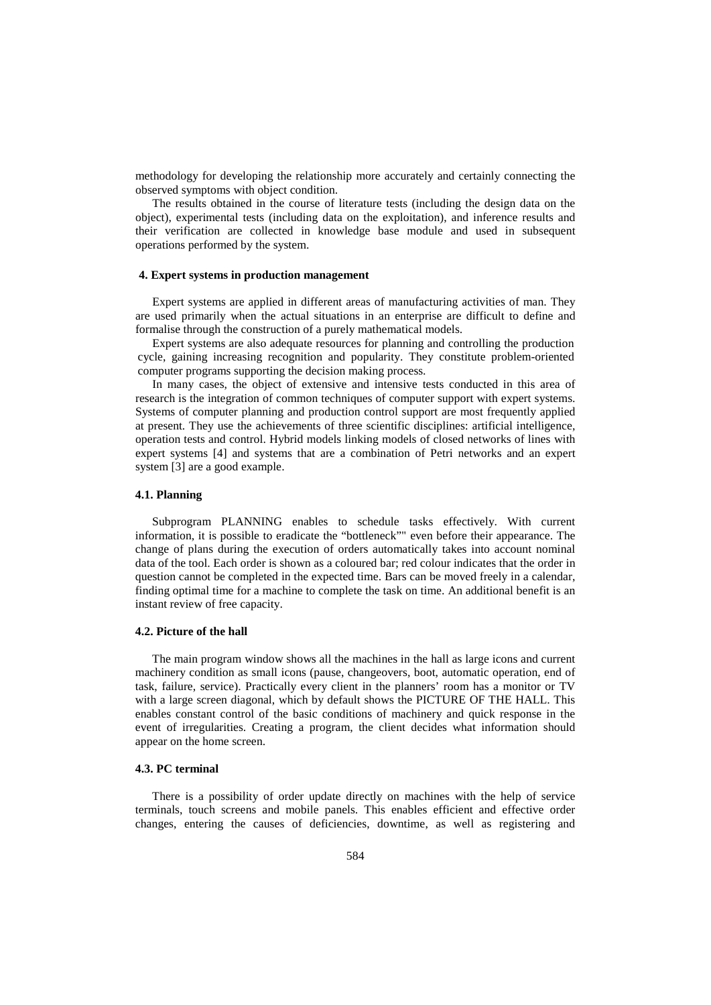methodology for developing the relationship more accurately and certainly connecting the observed symptoms with object condition.

The results obtained in the course of literature tests (including the design data on the object), experimental tests (including data on the exploitation), and inference results and their verification are collected in knowledge base module and used in subsequent operations performed by the system.

## **4. Expert systems in production management**

Expert systems are applied in different areas of manufacturing activities of man. They are used primarily when the actual situations in an enterprise are difficult to define and formalise through the construction of a purely mathematical models.

Expert systems are also adequate resources for planning and controlling the production cycle, gaining increasing recognition and popularity. They constitute problem-oriented computer programs supporting the decision making process.

In many cases, the object of extensive and intensive tests conducted in this area of research is the integration of common techniques of computer support with expert systems. Systems of computer planning and production control support are most frequently applied at present. They use the achievements of three scientific disciplines: artificial intelligence, operation tests and control. Hybrid models linking models of closed networks of lines with expert systems [4] and systems that are a combination of Petri networks and an expert system [3] are a good example.

# **4.1. Planning**

Subprogram PLANNING enables to schedule tasks effectively. With current information, it is possible to eradicate the "bottleneck"" even before their appearance. The change of plans during the execution of orders automatically takes into account nominal data of the tool. Each order is shown as a coloured bar; red colour indicates that the order in question cannot be completed in the expected time. Bars can be moved freely in a calendar, finding optimal time for a machine to complete the task on time. An additional benefit is an instant review of free capacity.

### **4.2. Picture of the hall**

The main program window shows all the machines in the hall as large icons and current machinery condition as small icons (pause, changeovers, boot, automatic operation, end of task, failure, service). Practically every client in the planners' room has a monitor or TV with a large screen diagonal, which by default shows the PICTURE OF THE HALL. This enables constant control of the basic conditions of machinery and quick response in the event of irregularities. Creating a program, the client decides what information should appear on the home screen.

## **4.3. PC terminal**

There is a possibility of order update directly on machines with the help of service terminals, touch screens and mobile panels. This enables efficient and effective order changes, entering the causes of deficiencies, downtime, as well as registering and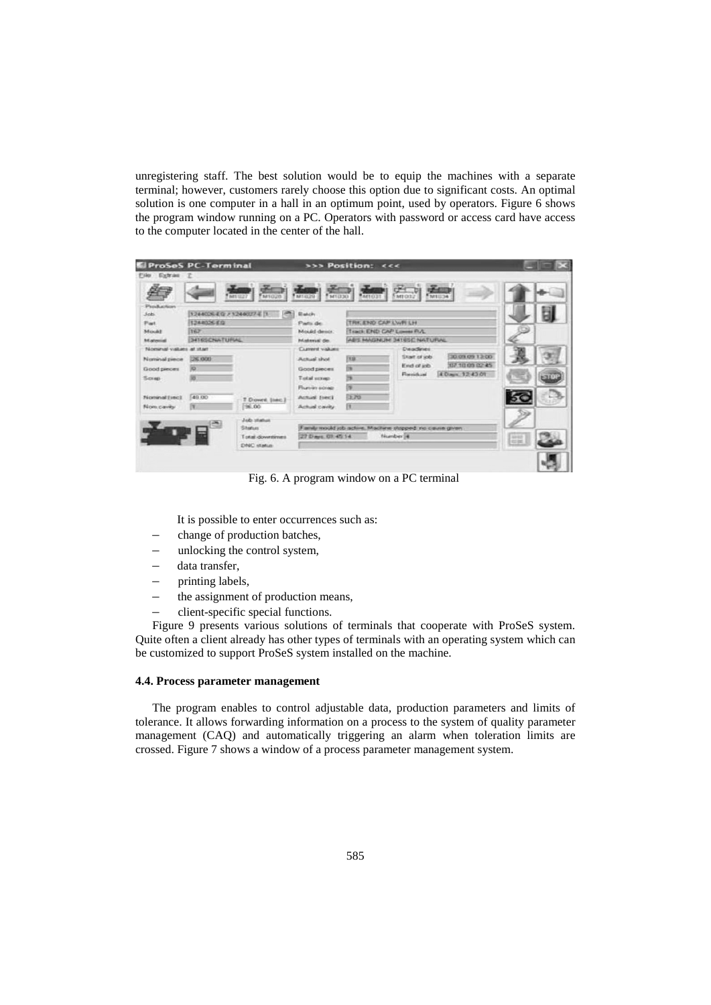unregistering staff. The best solution would be to equip the machines with a separate terminal; however, customers rarely choose this option due to significant costs. An optimal solution is one computer in a hall in an optimum point, used by operators. Figure 6 shows the program window running on a PC. Operators with password or access card have access to the computer located in the center of the hall.

| Production<br>$3$ ob                                                                           | 1244026-EG / 1244027-E (1)           | 盖                                                      | <b>Batch</b>                                                                                                       |                                 | WHERE THE PRODUCTS AND MANAGEMENT                                                                                             |                      |  |
|------------------------------------------------------------------------------------------------|--------------------------------------|--------------------------------------------------------|--------------------------------------------------------------------------------------------------------------------|---------------------------------|-------------------------------------------------------------------------------------------------------------------------------|----------------------|--|
| Part.                                                                                          | 1244026-EQ                           |                                                        | Parts de                                                                                                           | TRK END CAP LWR LH              |                                                                                                                               |                      |  |
| MINAT                                                                                          | 167                                  |                                                        | Mould desire:                                                                                                      | Track END CAP Lowes FLA.        |                                                                                                                               |                      |  |
| Material                                                                                       | <b>3416SCNULTURAL</b>                |                                                        | Material de                                                                                                        |                                 | ABS HAGNUM 3416SC NATURAL                                                                                                     |                      |  |
| Nominal values at start<br>Nominal piece<br>Good pieces<br>Screp<br>Nominal (sec).<br>Noncovey | <b>CAS OCO</b><br>yo.<br>49.00<br>īπ | T Downt (tec.)<br>$-00.00$                             | Current viskant<br>Actual short<br>Good pieces<br>Tiotal series:<br>Fluri-in some<br>Actual Isec1<br>Actual cavity | TEB<br>B<br>茜<br>西<br>2.70<br>压 | Deadlines<br>30.09.09.13-00<br>Skart of job<br>07.10.09.02.45<br><b>End of job</b><br>4 Days: 12:43 01<br><b>Finenich and</b> |                      |  |
|                                                                                                |                                      | Job status<br>Shehas<br>Total downtines<br>DAIC status | 27 Diago, 03:45:14                                                                                                 |                                 | Family mould job active. Machine stopped, no cause given<br>Number 4                                                          | ta en<br><b>foat</b> |  |

Fig. 6. A program window on a PC terminal

It is possible to enter occurrences such as:

- change of production batches,
- unlocking the control system,
- data transfer,
- printing labels,
- the assignment of production means,
- client-specific special functions.

Figure 9 presents various solutions of terminals that cooperate with ProSeS system. Quite often a client already has other types of terminals with an operating system which can be customized to support ProSeS system installed on the machine.

## **4.4. Process parameter management**

The program enables to control adjustable data, production parameters and limits of tolerance. It allows forwarding information on a process to the system of quality parameter management (CAQ) and automatically triggering an alarm when toleration limits are crossed. Figure 7 shows a window of a process parameter management system.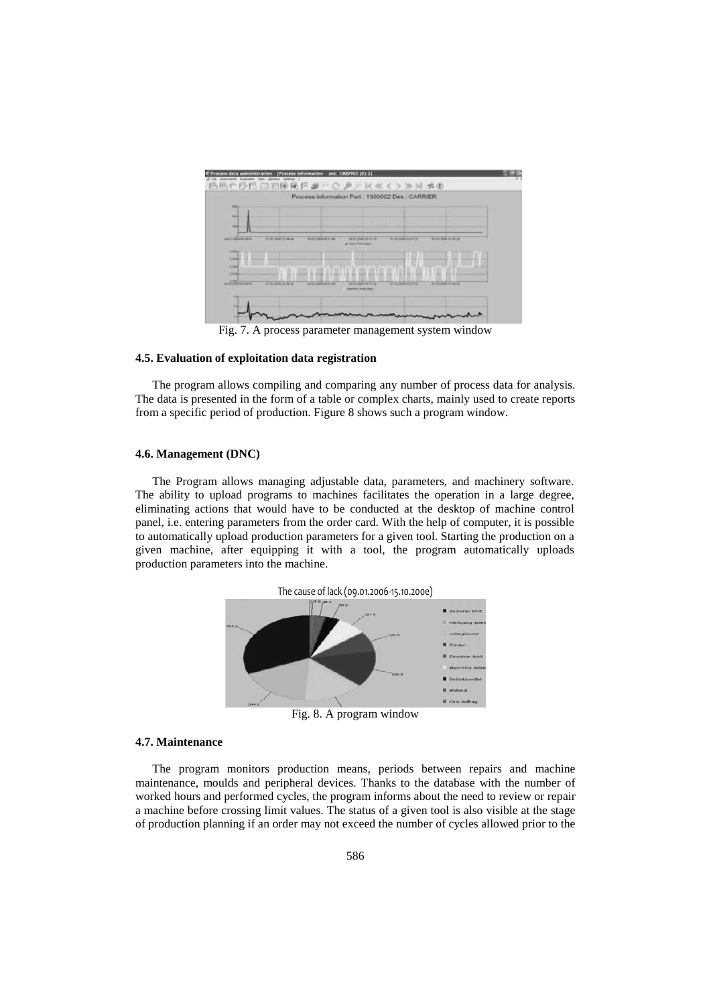

Fig. 7. A process parameter management system window

## **4.5. Evaluation of exploitation data registration**

The program allows compiling and comparing any number of process data for analysis. The data is presented in the form of a table or complex charts, mainly used to create reports from a specific period of production. Figure 8 shows such a program window.

# **4.6. Management (DNC)**

The Program allows managing adjustable data, parameters, and machinery software. The ability to upload programs to machines facilitates the operation in a large degree, eliminating actions that would have to be conducted at the desktop of machine control panel, i.e. entering parameters from the order card. With the help of computer, it is possible to automatically upload production parameters for a given tool. Starting the production on a given machine, after equipping it with a tool, the program automatically uploads production parameters into the machine.



Fig. 8. A program window

# **4.7. Maintenance**

The program monitors production means, periods between repairs and machine maintenance, moulds and peripheral devices. Thanks to the database with the number of worked hours and performed cycles, the program informs about the need to review or repair a machine before crossing limit values. The status of a given tool is also visible at the stage of production planning if an order may not exceed the number of cycles allowed prior to the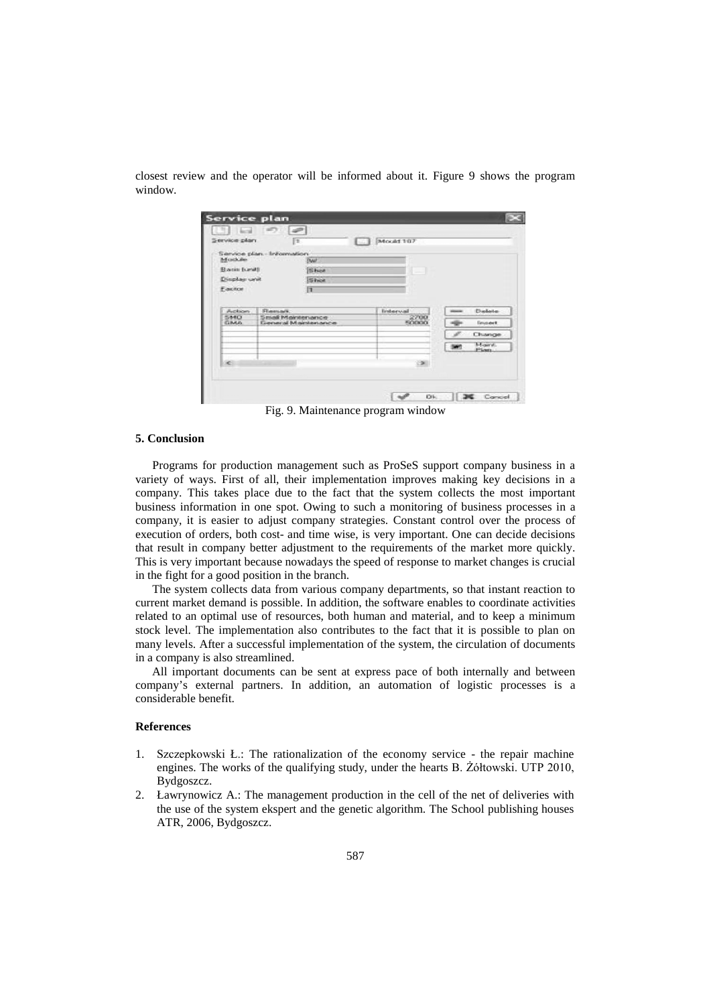|         |  |  |  | closest review and the operator will be informed about it. Figure 9 shows the program |  |  |  |  |
|---------|--|--|--|---------------------------------------------------------------------------------------|--|--|--|--|
| window. |  |  |  |                                                                                       |  |  |  |  |
|         |  |  |  |                                                                                       |  |  |  |  |

| Service plan     | Iъ                                  | Moold 107 |                  |  |                |  |  |  |
|------------------|-------------------------------------|-----------|------------------|--|----------------|--|--|--|
|                  |                                     |           |                  |  |                |  |  |  |
| Module.          | Service plan - Information          |           |                  |  |                |  |  |  |
|                  |                                     | DWP.      |                  |  |                |  |  |  |
| Basis (unit)     |                                     | Shot      |                  |  |                |  |  |  |
| Display unit     | Shot                                |           |                  |  |                |  |  |  |
| Eactor           | n                                   |           |                  |  |                |  |  |  |
|                  |                                     |           |                  |  |                |  |  |  |
|                  |                                     |           |                  |  |                |  |  |  |
| Auctions:<br>SMO | <b>Stemark</b><br>Small Maintenance |           | Interval<br>2700 |  | Dielote        |  |  |  |
| GMA              | General Maintenance                 |           | 50000            |  | lingert.       |  |  |  |
|                  |                                     |           |                  |  | Change         |  |  |  |
|                  |                                     |           |                  |  | Mary.<br>Plan. |  |  |  |
| æ                |                                     |           |                  |  |                |  |  |  |
|                  |                                     |           |                  |  |                |  |  |  |
|                  |                                     |           |                  |  |                |  |  |  |

Fig. 9. Maintenance program window

# **5. Conclusion**

Programs for production management such as ProSeS support company business in a variety of ways. First of all, their implementation improves making key decisions in a company. This takes place due to the fact that the system collects the most important business information in one spot. Owing to such a monitoring of business processes in a company, it is easier to adjust company strategies. Constant control over the process of execution of orders, both cost- and time wise, is very important. One can decide decisions that result in company better adjustment to the requirements of the market more quickly. This is very important because nowadays the speed of response to market changes is crucial in the fight for a good position in the branch.

The system collects data from various company departments, so that instant reaction to current market demand is possible. In addition, the software enables to coordinate activities related to an optimal use of resources, both human and material, and to keep a minimum stock level. The implementation also contributes to the fact that it is possible to plan on many levels. After a successful implementation of the system, the circulation of documents in a company is also streamlined.

All important documents can be sent at express pace of both internally and between company's external partners. In addition, an automation of logistic processes is a considerable benefit.

#### **References**

- 1. Szczepkowski Ł.: The rationalization of the economy service the repair machine engines. The works of the qualifying study, under the hearts B. Żółtowski. UTP 2010, Bydgoszcz.
- 2. Ławrynowicz A.: The management production in the cell of the net of deliveries with the use of the system ekspert and the genetic algorithm. The School publishing houses ATR, 2006, Bydgoszcz.